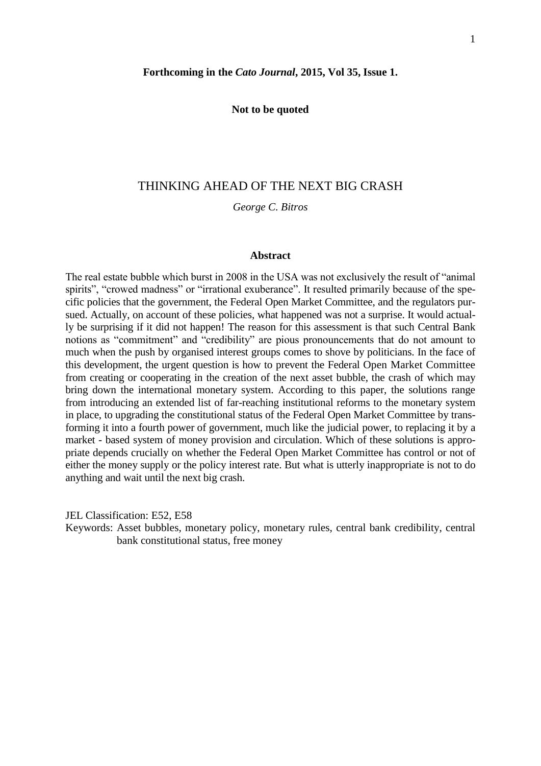#### **Forthcoming in the** *Cato Journal***, 2015, Vol 35, Issue 1.**

**Not to be quoted**

# THINKING AHEAD OF THE NEXT BIG CRASH

*George C. Bitros*

#### **Abstract**

The real estate bubble which burst in 2008 in the USA was not exclusively the result of "animal" spirits", "crowed madness" or "irrational exuberance". It resulted primarily because of the specific policies that the government, the Federal Open Market Committee, and the regulators pursued. Actually, on account of these policies, what happened was not a surprise. It would actually be surprising if it did not happen! The reason for this assessment is that such Central Bank notions as "commitment" and "credibility" are pious pronouncements that do not amount to much when the push by organised interest groups comes to shove by politicians. In the face of this development, the urgent question is how to prevent the Federal Open Market Committee from creating or cooperating in the creation of the next asset bubble, the crash of which may bring down the international monetary system. According to this paper, the solutions range from introducing an extended list of far-reaching institutional reforms to the monetary system in place, to upgrading the constitutional status of the Federal Open Market Committee by transforming it into a fourth power of government, much like the judicial power, to replacing it by a market - based system of money provision and circulation. Which of these solutions is appropriate depends crucially on whether the Federal Open Market Committee has control or not of either the money supply or the policy interest rate. But what is utterly inappropriate is not to do anything and wait until the next big crash.

JEL Classification: E52, E58

Keywords: Asset bubbles, monetary policy, monetary rules, central bank credibility, central bank constitutional status, free money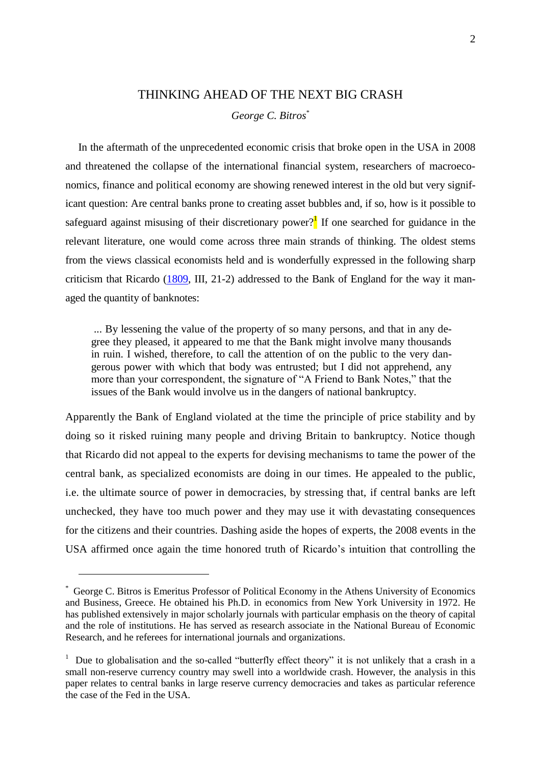### THINKING AHEAD OF THE NEXT BIG CRASH

# *George C. Bitros*\*

In the aftermath of the unprecedented economic crisis that broke open in the USA in 2008 and threatened the collapse of the international financial system, researchers of macroeconomics, finance and political economy are showing renewed interest in the old but very significant question: Are central banks prone to creating asset bubbles and, if so, how is it possible to safeguard against misusing of their discretionary power?<sup>1</sup> If one searched for guidance in the relevant literature, one would come across three main strands of thinking. The oldest stems from the views classical economists held and is wonderfully expressed in the following sharp criticism that Ricardo [\(1809,](#page-26-0) III, 21-2) addressed to the Bank of England for the way it managed the quantity of banknotes:

... By lessening the value of the property of so many persons, and that in any degree they pleased, it appeared to me that the Bank might involve many thousands in ruin. I wished, therefore, to call the attention of on the public to the very dangerous power with which that body was entrusted; but I did not apprehend, any more than your correspondent, the signature of "A Friend to Bank Notes," that the issues of the Bank would involve us in the dangers of national bankruptcy.

Apparently the Bank of England violated at the time the principle of price stability and by doing so it risked ruining many people and driving Britain to bankruptcy. Notice though that Ricardo did not appeal to the experts for devising mechanisms to tame the power of the central bank, as specialized economists are doing in our times. He appealed to the public, i.e. the ultimate source of power in democracies, by stressing that, if central banks are left unchecked, they have too much power and they may use it with devastating consequences for the citizens and their countries. Dashing aside the hopes of experts, the 2008 events in the USA affirmed once again the time honored truth of Ricardo's intuition that controlling the

<sup>\*</sup> George C. Bitros is Emeritus Professor of Political Economy in the Athens University of Economics and Business, Greece. He obtained his Ph.D. in economics from New York University in 1972. He has published extensively in major scholarly journals with particular emphasis on the theory of capital and the role of institutions. He has served as research associate in the National Bureau of Economic Research, and he referees for international journals and organizations.

<sup>&</sup>lt;sup>1</sup> Due to globalisation and the so-called "butterfly effect theory" it is not unlikely that a crash in a small non-reserve currency country may swell into a worldwide crash. However, the analysis in this paper relates to central banks in large reserve currency democracies and takes as particular reference the case of the Fed in the USA.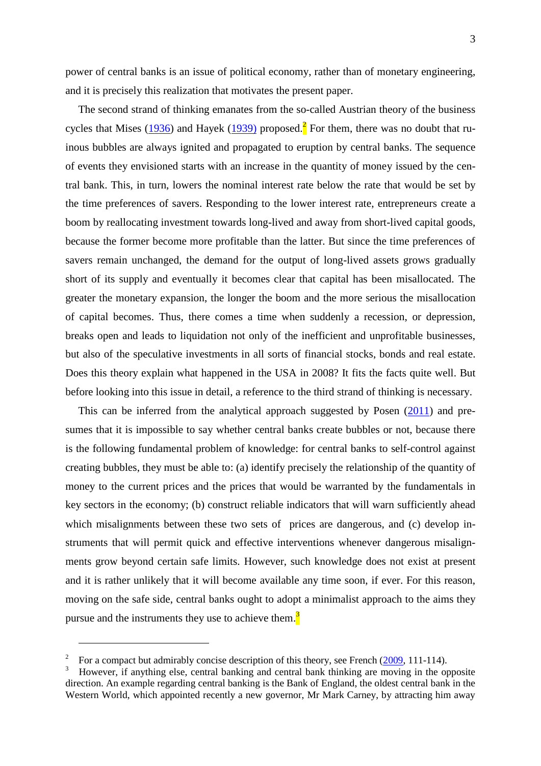power of central banks is an issue of political economy, rather than of monetary engineering, and it is precisely this realization that motivates the present paper.

The second strand of thinking emanates from the so-called Austrian theory of the business cycles that Mises [\(1936\)](#page-26-1) and Hayek [\(1939\)](#page-25-0) proposed.<sup>2</sup> For them, there was no doubt that ruinous bubbles are always ignited and propagated to eruption by central banks. The sequence of events they envisioned starts with an increase in the quantity of money issued by the central bank. This, in turn, lowers the nominal interest rate below the rate that would be set by the time preferences of savers. Responding to the lower interest rate, entrepreneurs create a boom by reallocating investment towards long-lived and away from short-lived capital goods, because the former become more profitable than the latter. But since the time preferences of savers remain unchanged, the demand for the output of long-lived assets grows gradually short of its supply and eventually it becomes clear that capital has been misallocated. The greater the monetary expansion, the longer the boom and the more serious the misallocation of capital becomes. Thus, there comes a time when suddenly a recession, or depression, breaks open and leads to liquidation not only of the inefficient and unprofitable businesses, but also of the speculative investments in all sorts of financial stocks, bonds and real estate. Does this theory explain what happened in the USA in 2008? It fits the facts quite well. But before looking into this issue in detail, a reference to the third strand of thinking is necessary.

This can be inferred from the analytical approach suggested by Posen [\(2011\)](#page-26-2) and presumes that it is impossible to say whether central banks create bubbles or not, because there is the following fundamental problem of knowledge: for central banks to self-control against creating bubbles, they must be able to: (a) identify precisely the relationship of the quantity of money to the current prices and the prices that would be warranted by the fundamentals in key sectors in the economy; (b) construct reliable indicators that will warn sufficiently ahead which misalignments between these two sets of prices are dangerous, and (c) develop instruments that will permit quick and effective interventions whenever dangerous misalignments grow beyond certain safe limits. However, such knowledge does not exist at present and it is rather unlikely that it will become available any time soon, if ever. For this reason, moving on the safe side, central banks ought to adopt a minimalist approach to the aims they pursue and the instruments they use to achieve them.<sup>3</sup>

<sup>2</sup> For a compact but admirably concise description of this theory, see French [\(2009,](#page-24-0) 111-114).

<sup>3</sup> However, if anything else, central banking and central bank thinking are moving in the opposite direction. An example regarding central banking is the Bank of England, the oldest central bank in the Western World, which appointed recently a new governor, Mr Mark Carney, by attracting him away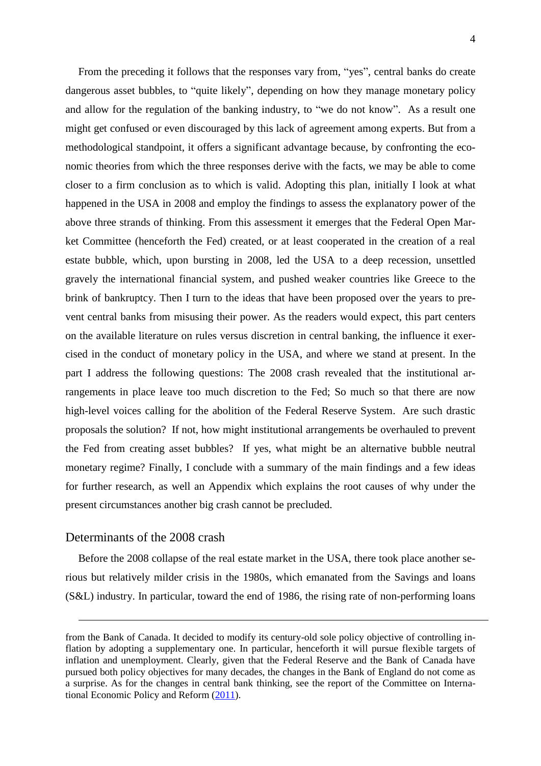4

From the preceding it follows that the responses vary from, "yes", central banks do create dangerous asset bubbles, to "quite likely", depending on how they manage monetary policy and allow for the regulation of the banking industry, to "we do not know". As a result one might get confused or even discouraged by this lack of agreement among experts. But from a methodological standpoint, it offers a significant advantage because, by confronting the economic theories from which the three responses derive with the facts, we may be able to come closer to a firm conclusion as to which is valid. Adopting this plan, initially I look at what happened in the USA in 2008 and employ the findings to assess the explanatory power of the above three strands of thinking. From this assessment it emerges that the Federal Open Market Committee (henceforth the Fed) created, or at least cooperated in the creation of a real estate bubble, which, upon bursting in 2008, led the USA to a deep recession, unsettled gravely the international financial system, and pushed weaker countries like Greece to the brink of bankruptcy. Then I turn to the ideas that have been proposed over the years to prevent central banks from misusing their power. As the readers would expect, this part centers on the available literature on rules versus discretion in central banking, the influence it exercised in the conduct of monetary policy in the USA, and where we stand at present. In the part I address the following questions: The 2008 crash revealed that the institutional arrangements in place leave too much discretion to the Fed; So much so that there are now high-level voices calling for the abolition of the Federal Reserve System. Are such drastic proposals the solution? If not, how might institutional arrangements be overhauled to prevent the Fed from creating asset bubbles? If yes, what might be an alternative bubble neutral monetary regime? Finally, I conclude with a summary of the main findings and a few ideas for further research, as well an Appendix which explains the root causes of why under the present circumstances another big crash cannot be precluded.

# Determinants of the 2008 crash

 $\overline{a}$ 

Before the 2008 collapse of the real estate market in the USA, there took place another serious but relatively milder crisis in the 1980s, which emanated from the Savings and loans (S&L) industry. In particular, toward the end of 1986, the rising rate of non-performing loans

from the Bank of Canada. It decided to modify its century-old sole policy objective of controlling inflation by adopting a supplementary one. In particular, henceforth it will pursue flexible targets of inflation and unemployment. Clearly, given that the Federal Reserve and the Bank of Canada have pursued both policy objectives for many decades, the changes in the Bank of England do not come as a surprise. As for the changes in central bank thinking, see the report of the Committee on International Economic Policy and Reform [\(2011\)](#page-24-1).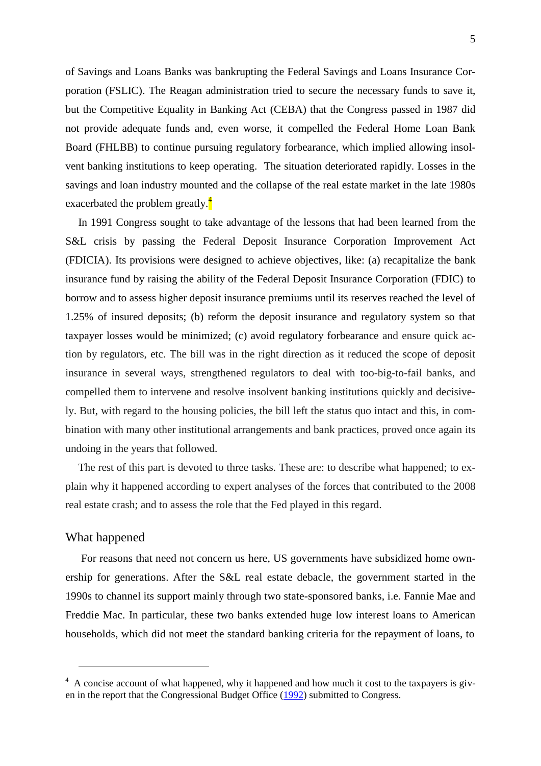of Savings and Loans Banks was bankrupting the Federal Savings and Loans Insurance Corporation (FSLIC). The Reagan administration tried to secure the necessary funds to save it, but the Competitive Equality in Banking Act (CEBA) that the Congress passed in 1987 did not provide adequate funds and, even worse, it compelled the Federal Home Loan Bank Board (FHLBB) to continue pursuing regulatory forbearance, which implied allowing insolvent banking institutions to keep operating. The situation deteriorated rapidly. Losses in the savings and loan industry mounted and the collapse of the real estate market in the late 1980s exacerbated the problem greatly.<sup>4</sup>

In 1991 Congress sought to take advantage of the lessons that had been learned from the S&L crisis by passing the Federal Deposit Insurance Corporation Improvement Act (FDICIA). Its provisions were designed to achieve objectives, like: (a) recapitalize the bank insurance fund by raising the ability of the Federal Deposit Insurance Corporation (FDIC) to borrow and to assess higher deposit insurance premiums until its reserves reached the level of 1.25% of insured deposits; (b) reform the deposit insurance and regulatory system so that taxpayer losses would be minimized; (c) avoid regulatory forbearance and ensure quick action by regulators, etc. The bill was in the right direction as it reduced the scope of deposit insurance in several ways, strengthened regulators to deal with too-big-to-fail banks, and compelled them to intervene and resolve insolvent banking institutions quickly and decisively. But, with regard to the housing policies, the bill left the status quo intact and this, in combination with many other institutional arrangements and bank practices, proved once again its undoing in the years that followed.

The rest of this part is devoted to three tasks. These are: to describe what happened; to explain why it happened according to expert analyses of the forces that contributed to the 2008 real estate crash; and to assess the role that the Fed played in this regard.

## What happened

 $\overline{a}$ 

For reasons that need not concern us here, US governments have subsidized home ownership for generations. After the S&L real estate debacle, the government started in the 1990s to channel its support mainly through two state-sponsored banks, i.e. Fannie Mae and Freddie Mac. In particular, these two banks extended huge low interest loans to American households, which did not meet the standard banking criteria for the repayment of loans, to

<sup>&</sup>lt;sup>4</sup> A concise account of what happened, why it happened and how much it cost to the taxpayers is given in the report that the Congressional Budget Office [\(1992\)](#page-24-2) submitted to Congress.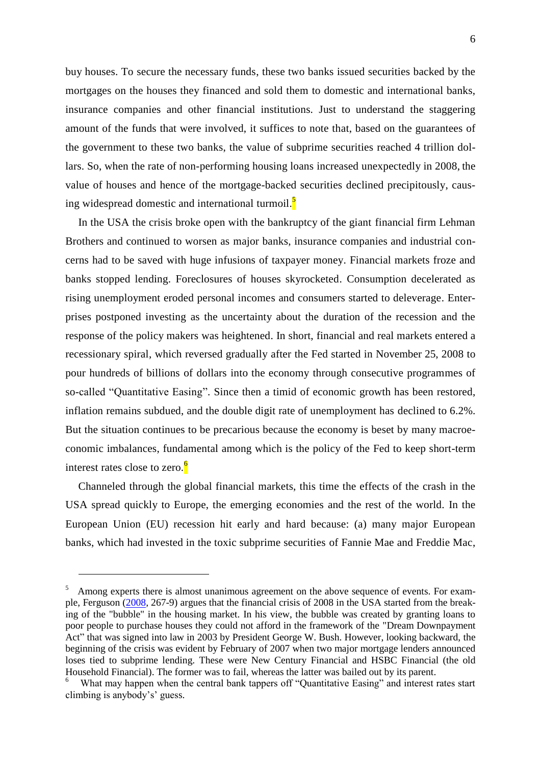buy houses. To secure the necessary funds, these two banks issued securities backed by the mortgages on the houses they financed and sold them to domestic and international banks, insurance companies and other financial institutions. Just to understand the staggering amount of the funds that were involved, it suffices to note that, based on the guarantees of the government to these two banks, the value of subprime securities reached 4 trillion dollars. So, when the rate of non-performing housing loans increased unexpectedly in 2008, the value of houses and hence of the mortgage-backed securities declined precipitously, causing widespread domestic and international turmoil.<sup>5</sup>

In the USA the crisis broke open with the bankruptcy of the giant financial firm Lehman Brothers and continued to worsen as major banks, insurance companies and industrial concerns had to be saved with huge infusions of taxpayer money. Financial markets froze and banks stopped lending. Foreclosures of houses skyrocketed. Consumption decelerated as rising unemployment eroded personal incomes and consumers started to deleverage. Enterprises postponed investing as the uncertainty about the duration of the recession and the response of the policy makers was heightened. In short, financial and real markets entered a recessionary spiral, which reversed gradually after the Fed started in November 25, 2008 to pour hundreds of billions of dollars into the economy through consecutive programmes of so-called "Quantitative Easing". Since then a timid of economic growth has been restored, inflation remains subdued, and the double digit rate of unemployment has declined to 6.2%. But the situation continues to be precarious because the economy is beset by many macroeconomic imbalances, fundamental among which is the policy of the Fed to keep short-term interest rates close to zero. $\frac{6}{5}$ 

Channeled through the global financial markets, this time the effects of the crash in the USA spread quickly to Europe, the emerging economies and the rest of the world. In the European Union (EU) recession hit early and hard because: (a) many major European banks, which had invested in the toxic subprime securities of Fannie Mae and Freddie Mac,

<sup>5</sup> Among experts there is almost unanimous agreement on the above sequence of events. For example, Ferguson [\(2008,](#page-24-3) 267-9) argues that the financial crisis of 2008 in the USA started from the breaking of the "bubble" in the housing market. In his view, the bubble was created by granting loans to poor people to purchase houses they could not afford in the framework of the "Dream Downpayment Act" that was signed into law in 2003 by President George W. Bush. However, looking backward, the beginning of the crisis was evident by February of 2007 when two major mortgage lenders announced loses tied to subprime lending. These were New Century Financial and HSBC Financial (the old Household Financial). The former was to fail, whereas the latter was bailed out by its parent.

<sup>6</sup> What may happen when the central bank tappers off "Quantitative Easing" and interest rates start climbing is anybody's' guess.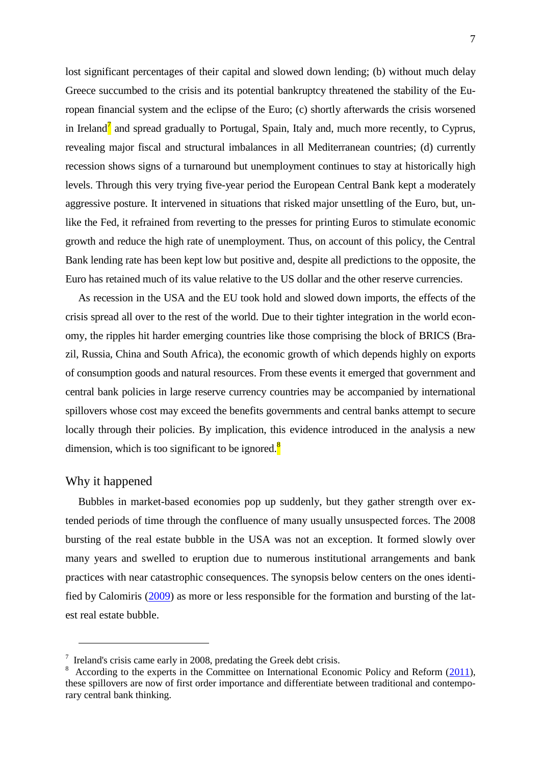lost significant percentages of their capital and slowed down lending; (b) without much delay Greece succumbed to the crisis and its potential bankruptcy threatened the stability of the European financial system and the eclipse of the Euro; (c) shortly afterwards the crisis worsened in Ireland<sup>7</sup> and spread gradually to Portugal, Spain, Italy and, much more recently, to Cyprus, revealing major fiscal and structural imbalances in all Mediterranean countries; (d) currently recession shows signs of a turnaround but unemployment continues to stay at historically high levels. Through this very trying five-year period the European Central Bank kept a moderately aggressive posture. It intervened in situations that risked major unsettling of the Euro, but, unlike the Fed, it refrained from reverting to the presses for printing Euros to stimulate economic growth and reduce the high rate of unemployment. Thus, on account of this policy, the Central Bank lending rate has been kept low but positive and, despite all predictions to the opposite, the Euro has retained much of its value relative to the US dollar and the other reserve currencies.

As recession in the USA and the EU took hold and slowed down imports, the effects of the crisis spread all over to the rest of the world. Due to their tighter integration in the world economy, the ripples hit harder emerging countries like those comprising the block of BRICS (Brazil, Russia, China and South Africa), the economic growth of which depends highly on exports of consumption goods and natural resources. From these events it emerged that government and central bank policies in large reserve currency countries may be accompanied by international spillovers whose cost may exceed the benefits governments and central banks attempt to secure locally through their policies. By implication, this evidence introduced in the analysis a new dimension, which is too significant to be ignored. $\frac{8}{3}$ 

# Why it happened

 $\overline{a}$ 

Bubbles in market-based economies pop up suddenly, but they gather strength over extended periods of time through the confluence of many usually unsuspected forces. The 2008 bursting of the real estate bubble in the USA was not an exception. It formed slowly over many years and swelled to eruption due to numerous institutional arrangements and bank practices with near catastrophic consequences. The synopsis below centers on the ones identified by Calomiris [\(2009\)](#page-24-4) as more or less responsible for the formation and bursting of the latest real estate bubble.

 $7$  Ireland's crisis came early in 2008, predating the Greek debt crisis.

<sup>8</sup> According to the experts in the Committee on International Economic Policy and Reform [\(2011\)](#page-24-1), these spillovers are now of first order importance and differentiate between traditional and contemporary central bank thinking.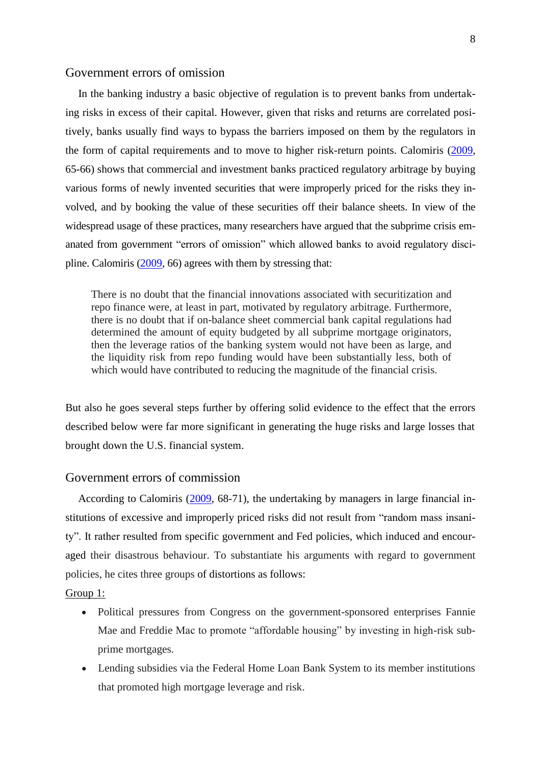# Government errors of omission

In the banking industry a basic objective of regulation is to prevent banks from undertaking risks in excess of their capital. However, given that risks and returns are correlated positively, banks usually find ways to bypass the barriers imposed on them by the regulators in the form of capital requirements and to move to higher risk-return points. Calomiris [\(2009,](#page-24-4) 65-66) shows that commercial and investment banks practiced regulatory arbitrage by buying various forms of newly invented securities that were improperly priced for the risks they involved, and by booking the value of these securities off their balance sheets. In view of the widespread usage of these practices, many researchers have argued that the subprime crisis emanated from government "errors of omission" which allowed banks to avoid regulatory discipline. Calomiris [\(2009,](#page-24-4) 66) agrees with them by stressing that:

There is no doubt that the financial innovations associated with securitization and repo finance were, at least in part, motivated by regulatory arbitrage. Furthermore, there is no doubt that if on-balance sheet commercial bank capital regulations had determined the amount of equity budgeted by all subprime mortgage originators, then the leverage ratios of the banking system would not have been as large, and the liquidity risk from repo funding would have been substantially less, both of which would have contributed to reducing the magnitude of the financial crisis.

But also he goes several steps further by offering solid evidence to the effect that the errors described below were far more significant in generating the huge risks and large losses that brought down the U.S. financial system.

# Government errors of commission

According to Calomiris [\(2009,](#page-24-4) 68-71), the undertaking by managers in large financial institutions of excessive and improperly priced risks did not result from "random mass insanity". It rather resulted from specific government and Fed policies, which induced and encouraged their disastrous behaviour. To substantiate his arguments with regard to government policies, he cites three groups of distortions as follows:

Group 1:

- Political pressures from Congress on the government-sponsored enterprises Fannie Mae and Freddie Mac to promote "affordable housing" by investing in high-risk subprime mortgages.
- Lending subsidies via the Federal Home Loan Bank System to its member institutions that promoted high mortgage leverage and risk.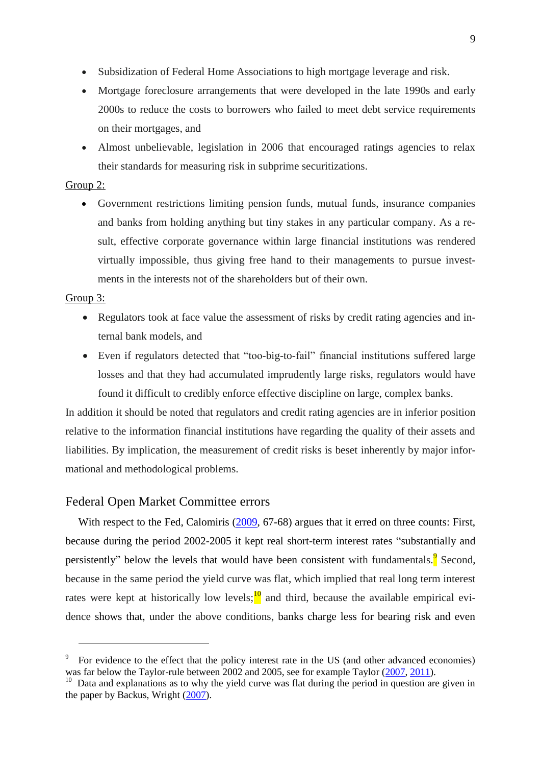- Subsidization of Federal Home Associations to high mortgage leverage and risk.
- Mortgage foreclosure arrangements that were developed in the late 1990s and early 2000s to reduce the costs to borrowers who failed to meet debt service requirements on their mortgages, and
- Almost unbelievable, legislation in 2006 that encouraged ratings agencies to relax their standards for measuring risk in subprime securitizations.

# Group 2:

 Government restrictions limiting pension funds, mutual funds, insurance companies and banks from holding anything but tiny stakes in any particular company. As a result, effective corporate governance within large financial institutions was rendered virtually impossible, thus giving free hand to their managements to pursue investments in the interests not of the shareholders but of their own.

#### Group 3:

 $\overline{a}$ 

- Regulators took at face value the assessment of risks by credit rating agencies and internal bank models, and
- Even if regulators detected that "too-big-to-fail" financial institutions suffered large losses and that they had accumulated imprudently large risks, regulators would have found it difficult to credibly enforce effective discipline on large, complex banks.

In addition it should be noted that regulators and credit rating agencies are in inferior position relative to the information financial institutions have regarding the quality of their assets and liabilities. By implication, the measurement of credit risks is beset inherently by major informational and methodological problems.

# Federal Open Market Committee errors

With respect to the Fed, Calomiris [\(2009,](#page-24-4) 67-68) argues that it erred on three counts: First, because during the period 2002-2005 it kept real short-term interest rates "substantially and persistently" below the levels that would have been consistent with fundamentals.<sup>9</sup> Second, because in the same period the yield curve was flat, which implied that real long term interest rates were kept at historically low levels;<sup>10</sup> and third, because the available empirical evidence shows that, under the above conditions, banks charge less for bearing risk and even

<sup>9</sup> For evidence to the effect that the policy interest rate in the US (and other advanced economies) was far below the Taylor-rule between 2002 and 2005, see for example Taylor [\(2007,](#page-26-3) [2011\)](#page-26-4).

<sup>&</sup>lt;sup>10</sup> Data and explanations as to why the yield curve was flat during the period in question are given in the paper by Backus, Wright [\(2007\)](#page-24-5).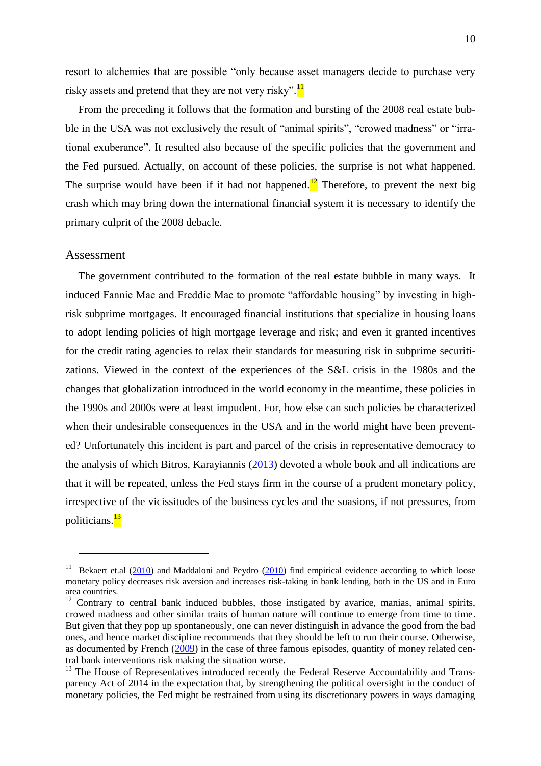resort to alchemies that are possible "only because asset managers decide to purchase very risky assets and pretend that they are not very risky". $\frac{11}{11}$ 

From the preceding it follows that the formation and bursting of the 2008 real estate bubble in the USA was not exclusively the result of "animal spirits", "crowed madness" or "irrational exuberance‖. It resulted also because of the specific policies that the government and the Fed pursued. Actually, on account of these policies, the surprise is not what happened. The surprise would have been if it had not happened.<sup>12</sup> Therefore, to prevent the next big crash which may bring down the international financial system it is necessary to identify the primary culprit of the 2008 debacle.

#### Assessment

 $\overline{a}$ 

The government contributed to the formation of the real estate bubble in many ways. It induced Fannie Mae and Freddie Mac to promote "affordable housing" by investing in highrisk subprime mortgages. It encouraged financial institutions that specialize in housing loans to adopt lending policies of high mortgage leverage and risk; and even it granted incentives for the credit rating agencies to relax their standards for measuring risk in subprime securitizations. Viewed in the context of the experiences of the S&L crisis in the 1980s and the changes that globalization introduced in the world economy in the meantime, these policies in the 1990s and 2000s were at least impudent. For, how else can such policies be characterized when their undesirable consequences in the USA and in the world might have been prevented? Unfortunately this incident is part and parcel of the crisis in representative democracy to the analysis of which Bitros, Karayiannis [\(2013\)](#page-24-6) devoted a whole book and all indications are that it will be repeated, unless the Fed stays firm in the course of a prudent monetary policy, irrespective of the vicissitudes of the business cycles and the suasions, if not pressures, from politicians.<sup>13</sup>

<sup>11</sup> Bekaert et.al [\(2010\)](#page-24-7) and Maddaloni and Peydro [\(2010\)](#page-25-1) find empirical evidence according to which loose monetary policy decreases risk aversion and increases risk-taking in bank lending, both in the US and in Euro area countries.

<sup>&</sup>lt;sup>12</sup> Contrary to central bank induced bubbles, those instigated by avarice, manias, animal spirits, crowed madness and other similar traits of human nature will continue to emerge from time to time. But given that they pop up spontaneously, one can never distinguish in advance the good from the bad ones, and hence market discipline recommends that they should be left to run their course. Otherwise, as documented by French [\(2009\)](#page-24-0) in the case of three famous episodes, quantity of money related central bank interventions risk making the situation worse.

<sup>&</sup>lt;sup>13</sup> The House of Representatives introduced recently the Federal Reserve Accountability and Transparency Act of 2014 in the expectation that, by strengthening the political oversight in the conduct of monetary policies, the Fed might be restrained from using its discretionary powers in ways damaging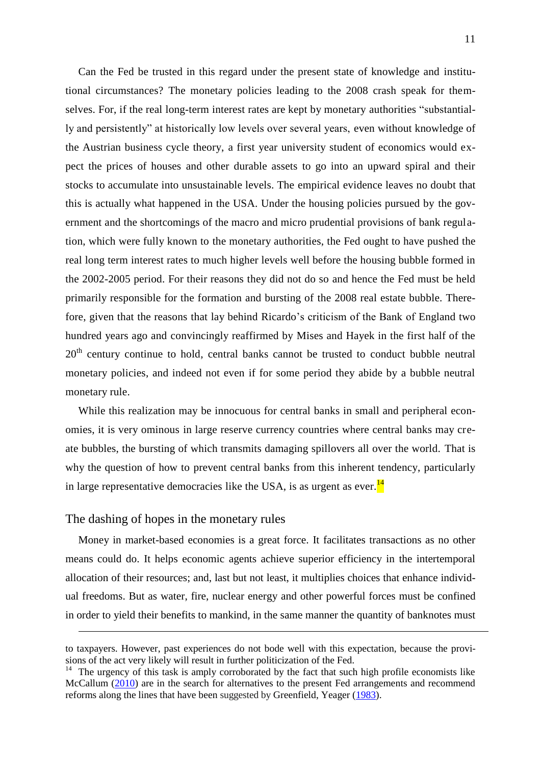Can the Fed be trusted in this regard under the present state of knowledge and institutional circumstances? The monetary policies leading to the 2008 crash speak for themselves. For, if the real long-term interest rates are kept by monetary authorities "substantially and persistently" at historically low levels over several years, even without knowledge of the Austrian business cycle theory, a first year university student of economics would expect the prices of houses and other durable assets to go into an upward spiral and their stocks to accumulate into unsustainable levels. The empirical evidence leaves no doubt that this is actually what happened in the USA. Under the housing policies pursued by the government and the shortcomings of the macro and micro prudential provisions of bank regulation, which were fully known to the monetary authorities, the Fed ought to have pushed the real long term interest rates to much higher levels well before the housing bubble formed in the 2002-2005 period. For their reasons they did not do so and hence the Fed must be held primarily responsible for the formation and bursting of the 2008 real estate bubble. Therefore, given that the reasons that lay behind Ricardo's criticism of the Bank of England two hundred years ago and convincingly reaffirmed by Mises and Hayek in the first half of the  $20<sup>th</sup>$  century continue to hold, central banks cannot be trusted to conduct bubble neutral monetary policies, and indeed not even if for some period they abide by a bubble neutral monetary rule.

While this realization may be innocuous for central banks in small and peripheral economies, it is very ominous in large reserve currency countries where central banks may create bubbles, the bursting of which transmits damaging spillovers all over the world. That is why the question of how to prevent central banks from this inherent tendency, particularly in large representative democracies like the USA, is as urgent as ever. $14$ 

# The dashing of hopes in the monetary rules

 $\overline{a}$ 

Money in market-based economies is a great force. It facilitates transactions as no other means could do. It helps economic agents achieve superior efficiency in the intertemporal allocation of their resources; and, last but not least, it multiplies choices that enhance individual freedoms. But as water, fire, nuclear energy and other powerful forces must be confined in order to yield their benefits to mankind, in the same manner the quantity of banknotes must

to taxpayers. However, past experiences do not bode well with this expectation, because the provisions of the act very likely will result in further politicization of the Fed.

<sup>&</sup>lt;sup>14</sup> The urgency of this task is amply corroborated by the fact that such high profile economists like McCallum [\(2010\)](#page-25-2) are in the search for alternatives to the present Fed arrangements and recommend reforms along the lines that have been suggested by Greenfield, Yeager [\(1983\)](#page-25-3).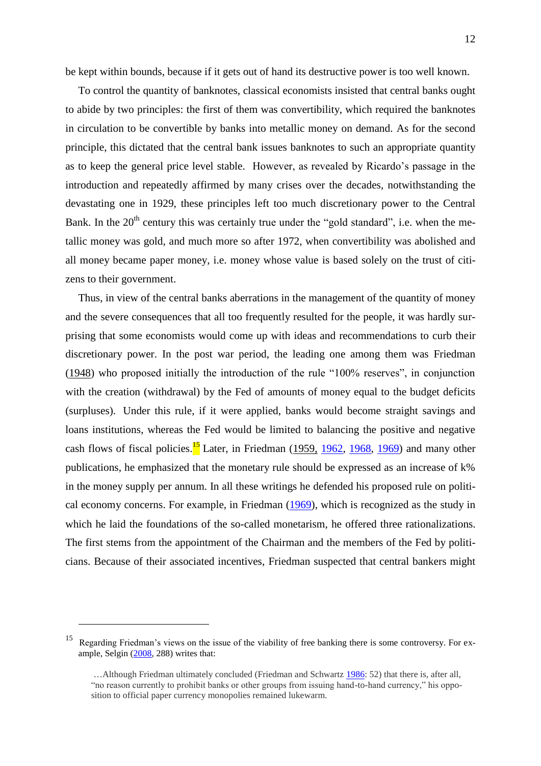be kept within bounds, because if it gets out of hand its destructive power is too well known.

To control the quantity of banknotes, classical economists insisted that central banks ought to abide by two principles: the first of them was convertibility, which required the banknotes in circulation to be convertible by banks into metallic money on demand. As for the second principle, this dictated that the central bank issues banknotes to such an appropriate quantity as to keep the general price level stable. However, as revealed by Ricardo's passage in the introduction and repeatedly affirmed by many crises over the decades, notwithstanding the devastating one in 1929, these principles left too much discretionary power to the Central Bank. In the  $20<sup>th</sup>$  century this was certainly true under the "gold standard", i.e. when the metallic money was gold, and much more so after 1972, when convertibility was abolished and all money became paper money, i.e. money whose value is based solely on the trust of citizens to their government.

Thus, in view of the central banks aberrations in the management of the quantity of money and the severe consequences that all too frequently resulted for the people, it was hardly surprising that some economists would come up with ideas and recommendations to curb their discretionary power. In the post war period, the leading one among them was Friedman  $(1948)$  who proposed initially the introduction of the rule " $100\%$  reserves", in conjunction with the creation (withdrawal) by the Fed of amounts of money equal to the budget deficits (surpluses). Under this rule, if it were applied, banks would become straight savings and loans institutions, whereas the Fed would be limited to balancing the positive and negative cash flows of fiscal policies.<sup>15</sup> Later, in Friedman [\(1959,](#page-24-8) [1962,](#page-25-5) [1968,](#page-25-6) [1969\)](#page-24-9) and many other publications, he emphasized that the monetary rule should be expressed as an increase of k% in the money supply per annum. In all these writings he defended his proposed rule on political economy concerns. For example, in Friedman [\(1969\)](#page-24-9), which is recognized as the study in which he laid the foundations of the so-called monetarism, he offered three rationalizations. The first stems from the appointment of the Chairman and the members of the Fed by politicians. Because of their associated incentives, Friedman suspected that central bankers might

<sup>15</sup> Regarding Friedman's views on the issue of the viability of free banking there is some controversy. For example, Selgin [\(2008,](#page-26-5) 288) writes that:

<sup>…</sup>Although Friedman ultimately concluded (Friedman and Schwartz [1986:](#page-25-7) 52) that there is, after all, "no reason currently to prohibit banks or other groups from issuing hand-to-hand currency," his opposition to official paper currency monopolies remained lukewarm.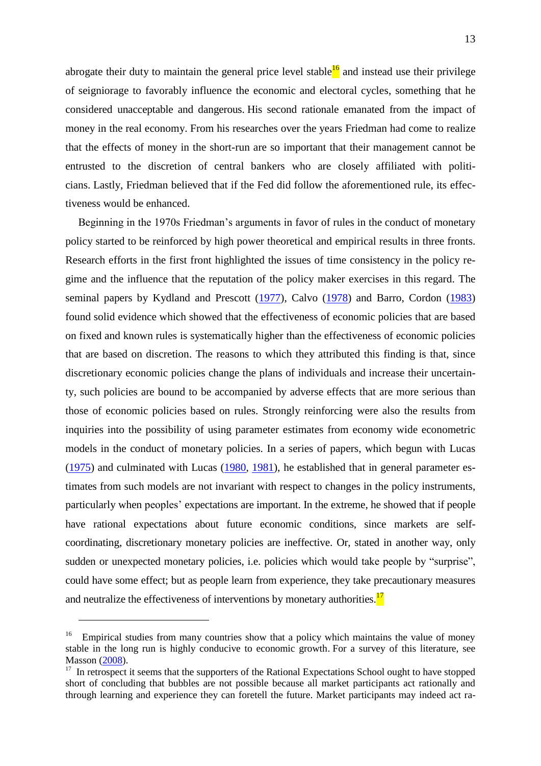abrogate their duty to maintain the general price level stable $^{16}$  and instead use their privilege of seigniorage to favorably influence the economic and electoral cycles, something that he considered unacceptable and dangerous. His second rationale emanated from the impact of money in the real economy. From his researches over the years Friedman had come to realize that the effects of money in the short-run are so important that their management cannot be entrusted to the discretion of central bankers who are closely affiliated with politicians. Lastly, Friedman believed that if the Fed did follow the aforementioned rule, its effectiveness would be enhanced.

Beginning in the 1970s Friedman's arguments in favor of rules in the conduct of monetary policy started to be reinforced by high power theoretical and empirical results in three fronts. Research efforts in the first front highlighted the issues of time consistency in the policy regime and the influence that the reputation of the policy maker exercises in this regard. The seminal papers by Kydland and Prescott [\(1977\)](#page-25-8), Calvo [\(1978\)](#page-24-10) and Barro, Cordon [\(1983\)](#page-24-11) found solid evidence which showed that the effectiveness of economic policies that are based on fixed and known rules is systematically higher than the effectiveness of economic policies that are based on discretion. The reasons to which they attributed this finding is that, since discretionary economic policies change the plans of individuals and increase their uncertainty, such policies are bound to be accompanied by adverse effects that are more serious than those of economic policies based on rules. Strongly reinforcing were also the results from inquiries into the possibility of using parameter estimates from economy wide econometric models in the conduct of monetary policies. In a series of papers, which begun with Lucas [\(1975\)](#page-25-9) and culminated with Lucas [\(1980,](#page-25-10) [1981\)](#page-25-11), he established that in general parameter estimates from such models are not invariant with respect to changes in the policy instruments, particularly when peoples' expectations are important. In the extreme, he showed that if people have rational expectations about future economic conditions, since markets are selfcoordinating, discretionary monetary policies are ineffective. Or, stated in another way, only sudden or unexpected monetary policies, i.e. policies which would take people by "surprise", could have some effect; but as people learn from experience, they take precautionary measures and neutralize the effectiveness of interventions by monetary authorities. $\frac{17}{17}$ 

<sup>16</sup> Empirical studies from many countries show that a policy which maintains the value of money stable in the long run is highly conducive to economic growth. For a survey of this literature, see Masson [\(2008\)](#page-25-12).

<sup>&</sup>lt;sup>17</sup> In retrospect it seems that the supporters of the Rational Expectations School ought to have stopped short of concluding that bubbles are not possible because all market participants act rationally and through learning and experience they can foretell the future. Market participants may indeed act ra-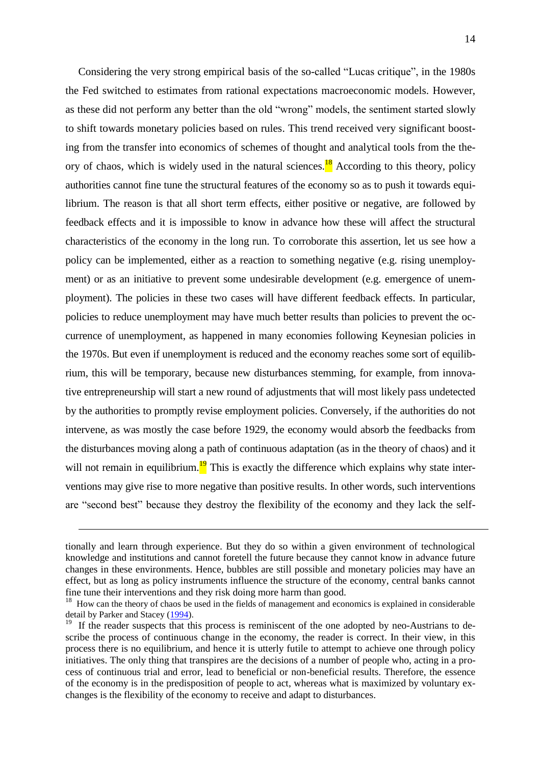Considering the very strong empirical basis of the so-called "Lucas critique", in the 1980s the Fed switched to estimates from rational expectations macroeconomic models. However, as these did not perform any better than the old "wrong" models, the sentiment started slowly to shift towards monetary policies based on rules. This trend received very significant boosting from the transfer into economics of schemes of thought and analytical tools from the theory of chaos, which is widely used in the natural sciences.<sup>18</sup> According to this theory, policy authorities cannot fine tune the structural features of the economy so as to push it towards equilibrium. The reason is that all short term effects, either positive or negative, are followed by feedback effects and it is impossible to know in advance how these will affect the structural characteristics of the economy in the long run. To corroborate this assertion, let us see how a policy can be implemented, either as a reaction to something negative (e.g. rising unemployment) or as an initiative to prevent some undesirable development (e.g. emergence of unemployment). The policies in these two cases will have different feedback effects. In particular, policies to reduce unemployment may have much better results than policies to prevent the occurrence of unemployment, as happened in many economies following Keynesian policies in the 1970s. But even if unemployment is reduced and the economy reaches some sort of equilibrium, this will be temporary, because new disturbances stemming, for example, from innovative entrepreneurship will start a new round of adjustments that will most likely pass undetected by the authorities to promptly revise employment policies. Conversely, if the authorities do not intervene, as was mostly the case before 1929, the economy would absorb the feedbacks from the disturbances moving along a path of continuous adaptation (as in the theory of chaos) and it will not remain in equilibrium.<sup>19</sup> This is exactly the difference which explains why state interventions may give rise to more negative than positive results. In other words, such interventions are "second best" because they destroy the flexibility of the economy and they lack the self-

tionally and learn through experience. But they do so within a given environment of technological knowledge and institutions and cannot foretell the future because they cannot know in advance future changes in these environments. Hence, bubbles are still possible and monetary policies may have an effect, but as long as policy instruments influence the structure of the economy, central banks cannot fine tune their interventions and they risk doing more harm than good.

<sup>&</sup>lt;sup>18</sup> How can the theory of chaos be used in the fields of management and economics is explained in considerable detail by Parker and Stacey [\(1994\)](#page-26-6).

<sup>&</sup>lt;sup>19</sup> If the reader suspects that this process is reminiscent of the one adopted by neo-Austrians to describe the process of continuous change in the economy, the reader is correct. In their view, in this process there is no equilibrium, and hence it is utterly futile to attempt to achieve one through policy initiatives. The only thing that transpires are the decisions of a number of people who, acting in a process of continuous trial and error, lead to beneficial or non-beneficial results. Therefore, the essence of the economy is in the predisposition of people to act, whereas what is maximized by voluntary exchanges is the flexibility of the economy to receive and adapt to disturbances.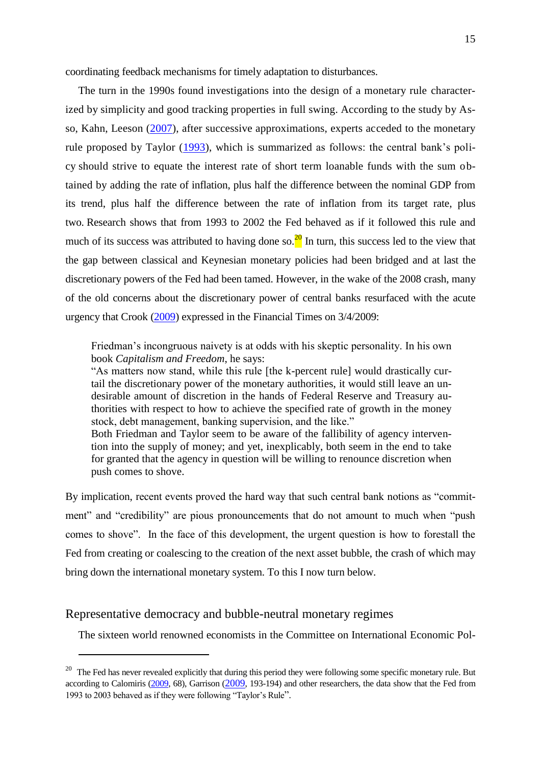coordinating feedback mechanisms for timely adaptation to disturbances.

The turn in the 1990s found investigations into the design of a monetary rule characterized by simplicity and good tracking properties in full swing. According to the study by Asso, Kahn, Leeson [\(2007\)](#page-24-12), after successive approximations, experts acceded to the monetary rule proposed by Taylor [\(1993\)](#page-26-7), which is summarized as follows: the central bank's policy should strive to equate the interest rate of short term loanable funds with the sum obtained by adding the rate of inflation, plus half the difference between the nominal GDP from its trend, plus half the difference between the rate of inflation from its target rate, plus two. Research shows that from 1993 to 2002 the Fed behaved as if it followed this rule and much of its success was attributed to having done so.<sup>20</sup> In turn, this success led to the view that the gap between classical and Keynesian monetary policies had been bridged and at last the discretionary powers of the Fed had been tamed. However, in the wake of the 2008 crash, many of the old concerns about the discretionary power of central banks resurfaced with the acute urgency that Crook [\(2009\)](#page-24-13) expressed in the Financial Times on 3/4/2009:

Friedman's incongruous naivety is at odds with his skeptic personality. In his own book *Capitalism and Freedom*, he says:

―As matters now stand, while this rule [the k-percent rule] would drastically curtail the discretionary power of the monetary authorities, it would still leave an undesirable amount of discretion in the hands of Federal Reserve and Treasury authorities with respect to how to achieve the specified rate of growth in the money stock, debt management, banking supervision, and the like." Both Friedman and Taylor seem to be aware of the fallibility of agency intervention into the supply of money; and yet, inexplicably, both seem in the end to take for granted that the agency in question will be willing to renounce discretion when

push comes to shove.

 $\overline{a}$ 

By implication, recent events proved the hard way that such central bank notions as "commitment" and "credibility" are pious pronouncements that do not amount to much when "push comes to shove". In the face of this development, the urgent question is how to forestall the Fed from creating or coalescing to the creation of the next asset bubble, the crash of which may bring down the international monetary system. To this I now turn below.

#### Representative democracy and bubble-neutral monetary regimes

The sixteen world renowned economists in the Committee on International Economic Pol-

<sup>&</sup>lt;sup>20</sup> The Fed has never revealed explicitly that during this period they were following some specific monetary rule. But according to Calomiris [\(2009,](#page-24-4) 68), Garrison ([2009](#page-25-13), 193-194) and other researchers, the data show that the Fed from 1993 to 2003 behaved as if they were following "Taylor's Rule".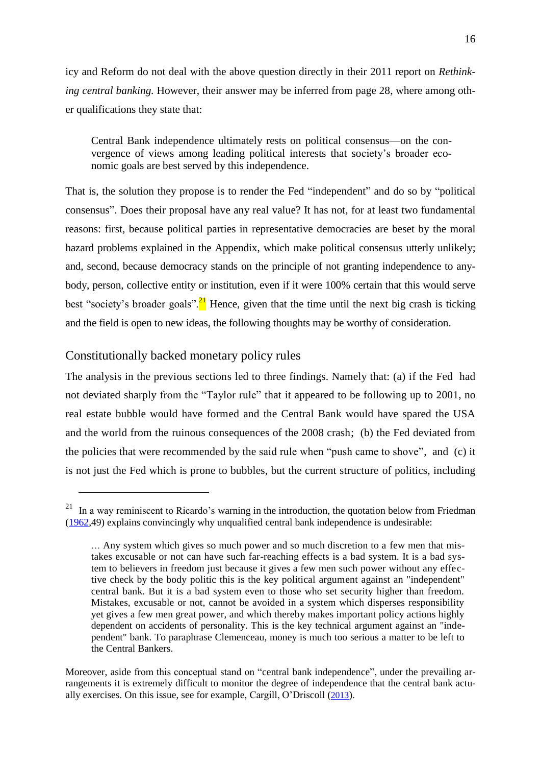icy and Reform do not deal with the above question directly in their 2011 report on *Rethinking central banking.* However, their answer may be inferred from page 28, where among other qualifications they state that:

Central Bank independence ultimately rests on political consensus—on the convergence of views among leading political interests that society's broader economic goals are best served by this independence.

That is, the solution they propose is to render the Fed "independent" and do so by "political consensus‖. Does their proposal have any real value? It has not, for at least two fundamental reasons: first, because political parties in representative democracies are beset by the moral hazard problems explained in the Appendix, which make political consensus utterly unlikely; and, second, because democracy stands on the principle of not granting independence to anybody, person, collective entity or institution, even if it were 100% certain that this would serve best "society's broader goals".  $\frac{21}{2}$  Hence, given that the time until the next big crash is ticking and the field is open to new ideas, the following thoughts may be worthy of consideration.

# Constitutionally backed monetary policy rules

 $\overline{a}$ 

The analysis in the previous sections led to three findings. Namely that: (a) if the Fed had not deviated sharply from the "Taylor rule" that it appeared to be following up to 2001, no real estate bubble would have formed and the Central Bank would have spared the USA and the world from the ruinous consequences of the 2008 crash; (b) the Fed deviated from the policies that were recommended by the said rule when "push came to shove", and  $(c)$  it is not just the Fed which is prone to bubbles, but the current structure of politics, including

 $21$  In a way reminiscent to Ricardo's warning in the introduction, the quotation below from Friedman [\(1962,](#page-25-5)49) explains convincingly why unqualified central bank independence is undesirable:

<sup>…</sup> Any system which gives so much power and so much discretion to a few men that mistakes excusable or not can have such far-reaching effects is a bad system. It is a bad system to believers in freedom just because it gives a few men such power without any effective check by the body politic this is the key political argument against an "independent" central bank. But it is a bad system even to those who set security higher than freedom. Mistakes, excusable or not, cannot be avoided in a system which disperses responsibility yet gives a few men great power, and which thereby makes important policy actions highly dependent on accidents of personality. This is the key technical argument against an "independent" bank. To paraphrase Clemenceau, money is much too serious a matter to be left to the Central Bankers.

Moreover, aside from this conceptual stand on "central bank independence", under the prevailing arrangements it is extremely difficult to monitor the degree of independence that the central bank actually exercises. On this issue, see for example, Cargill, O'Driscoll ([2013](#page-24-14)).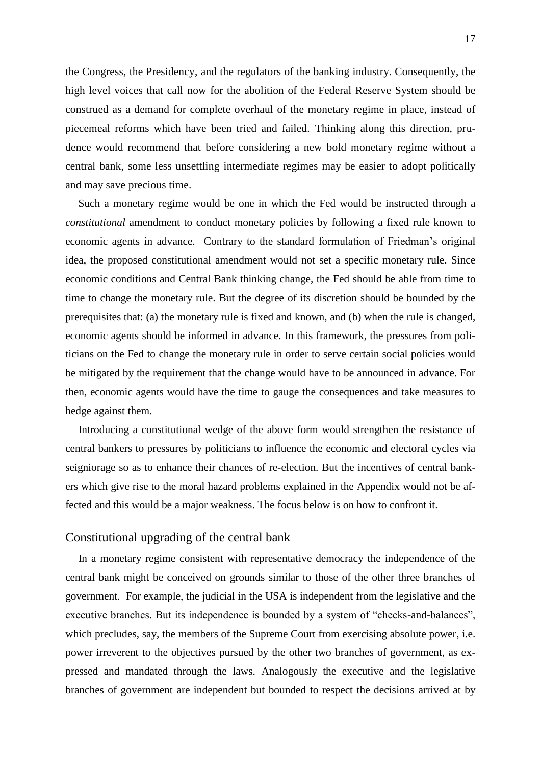the Congress, the Presidency, and the regulators of the banking industry. Consequently, the high level voices that call now for the abolition of the Federal Reserve System should be construed as a demand for complete overhaul of the monetary regime in place, instead of piecemeal reforms which have been tried and failed. Thinking along this direction, prudence would recommend that before considering a new bold monetary regime without a central bank, some less unsettling intermediate regimes may be easier to adopt politically and may save precious time.

Such a monetary regime would be one in which the Fed would be instructed through a *constitutional* amendment to conduct monetary policies by following a fixed rule known to economic agents in advance. Contrary to the standard formulation of Friedman's original idea, the proposed constitutional amendment would not set a specific monetary rule. Since economic conditions and Central Bank thinking change, the Fed should be able from time to time to change the monetary rule. But the degree of its discretion should be bounded by the prerequisites that: (a) the monetary rule is fixed and known, and (b) when the rule is changed, economic agents should be informed in advance. In this framework, the pressures from politicians on the Fed to change the monetary rule in order to serve certain social policies would be mitigated by the requirement that the change would have to be announced in advance. For then, economic agents would have the time to gauge the consequences and take measures to hedge against them.

Introducing a constitutional wedge of the above form would strengthen the resistance of central bankers to pressures by politicians to influence the economic and electoral cycles via seigniorage so as to enhance their chances of re-election. But the incentives of central bankers which give rise to the moral hazard problems explained in the Appendix would not be affected and this would be a major weakness. The focus below is on how to confront it.

## Constitutional upgrading of the central bank

In a monetary regime consistent with representative democracy the independence of the central bank might be conceived on grounds similar to those of the other three branches of government. For example, the judicial in the USA is independent from the legislative and the executive branches. But its independence is bounded by a system of "checks-and-balances", which precludes, say, the members of the Supreme Court from exercising absolute power, i.e. power irreverent to the objectives pursued by the other two branches of government, as expressed and mandated through the laws. Analogously the executive and the legislative branches of government are independent but bounded to respect the decisions arrived at by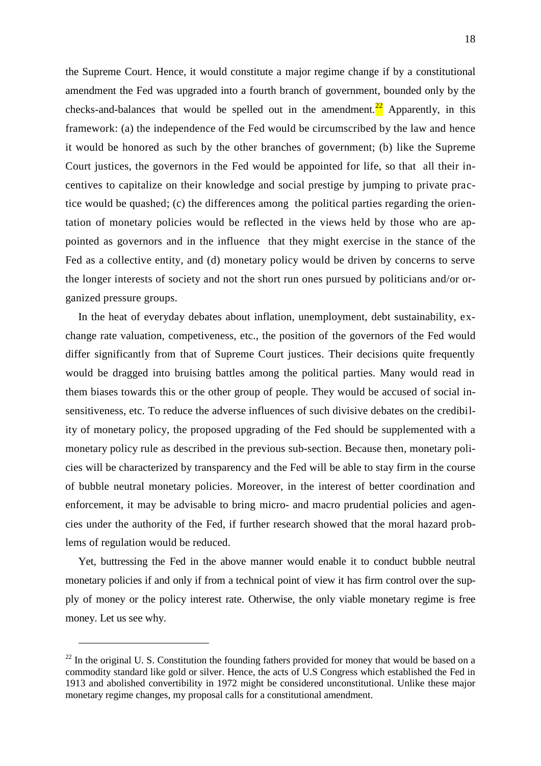the Supreme Court. Hence, it would constitute a major regime change if by a constitutional amendment the Fed was upgraded into a fourth branch of government, bounded only by the checks-and-balances that would be spelled out in the amendment.<sup>22</sup> Apparently, in this framework: (a) the independence of the Fed would be circumscribed by the law and hence it would be honored as such by the other branches of government; (b) like the Supreme Court justices, the governors in the Fed would be appointed for life, so that all their incentives to capitalize on their knowledge and social prestige by jumping to private practice would be quashed; (c) the differences among the political parties regarding the orientation of monetary policies would be reflected in the views held by those who are appointed as governors and in the influence that they might exercise in the stance of the Fed as a collective entity, and (d) monetary policy would be driven by concerns to serve the longer interests of society and not the short run ones pursued by politicians and/or organized pressure groups.

In the heat of everyday debates about inflation, unemployment, debt sustainability, exchange rate valuation, competiveness, etc., the position of the governors of the Fed would differ significantly from that of Supreme Court justices. Their decisions quite frequently would be dragged into bruising battles among the political parties. Many would read in them biases towards this or the other group of people. They would be accused of social insensitiveness, etc. To reduce the adverse influences of such divisive debates on the credibility of monetary policy, the proposed upgrading of the Fed should be supplemented with a monetary policy rule as described in the previous sub-section. Because then, monetary policies will be characterized by transparency and the Fed will be able to stay firm in the course of bubble neutral monetary policies. Moreover, in the interest of better coordination and enforcement, it may be advisable to bring micro- and macro prudential policies and agencies under the authority of the Fed, if further research showed that the moral hazard problems of regulation would be reduced.

Yet, buttressing the Fed in the above manner would enable it to conduct bubble neutral monetary policies if and only if from a technical point of view it has firm control over the supply of money or the policy interest rate. Otherwise, the only viable monetary regime is free money. Let us see why.

 $22$  In the original U. S. Constitution the founding fathers provided for money that would be based on a commodity standard like gold or silver. Hence, the acts of U.S Congress which established the Fed in 1913 and abolished convertibility in 1972 might be considered unconstitutional. Unlike these major monetary regime changes, my proposal calls for a constitutional amendment.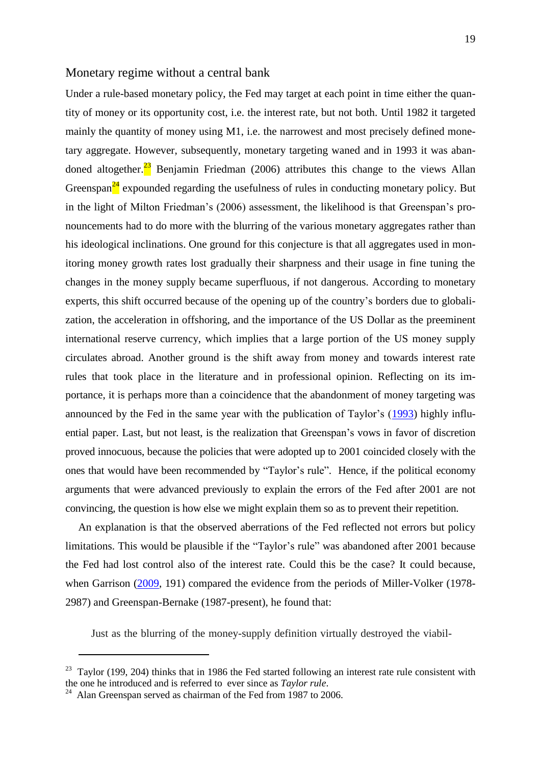## Monetary regime without a central bank

Under a rule-based monetary policy, the Fed may target at each point in time either the quantity of money or its opportunity cost, i.e. the interest rate, but not both. Until 1982 it targeted mainly the quantity of money using M1, i.e. the narrowest and most precisely defined monetary aggregate. However, subsequently, monetary targeting waned and in 1993 it was abandoned altogether.<sup>23</sup> Benjamin Friedman (2006) attributes this change to the views Allan Greenspan<sup>24</sup> expounded regarding the usefulness of rules in conducting monetary policy. But in the light of Milton Friedman's (2006) assessment, the likelihood is that Greenspan's pronouncements had to do more with the blurring of the various monetary aggregates rather than his ideological inclinations. One ground for this conjecture is that all aggregates used in monitoring money growth rates lost gradually their sharpness and their usage in fine tuning the changes in the money supply became superfluous, if not dangerous. According to monetary experts, this shift occurred because of the opening up of the country's borders due to globalization, the acceleration in offshoring, and the importance of the US Dollar as the preeminent international reserve currency, which implies that a large portion of the US money supply circulates abroad. Another ground is the shift away from money and towards interest rate rules that took place in the literature and in professional opinion. Reflecting on its importance, it is perhaps more than a coincidence that the abandonment of money targeting was announced by the Fed in the same year with the publication of Taylor's [\(1993\)](#page-26-7) highly influential paper. Last, but not least, is the realization that Greenspan's vows in favor of discretion proved innocuous, because the policies that were adopted up to 2001 coincided closely with the ones that would have been recommended by "Taylor's rule". Hence, if the political economy arguments that were advanced previously to explain the errors of the Fed after 2001 are not convincing, the question is how else we might explain them so as to prevent their repetition.

An explanation is that the observed aberrations of the Fed reflected not errors but policy limitations. This would be plausible if the "Taylor's rule" was abandoned after 2001 because the Fed had lost control also of the interest rate. Could this be the case? It could because, when Garrison [\(2009,](#page-25-13) 191) compared the evidence from the periods of Miller-Volker (1978- 2987) and Greenspan-Bernake (1987-present), he found that:

Just as the blurring of the money-supply definition virtually destroyed the viabil-

 $23$  Taylor (199, 204) thinks that in 1986 the Fed started following an interest rate rule consistent with the one he introduced and is referred to ever since as *Taylor rule*.

 $24$  Alan Greenspan served as chairman of the Fed from 1987 to 2006.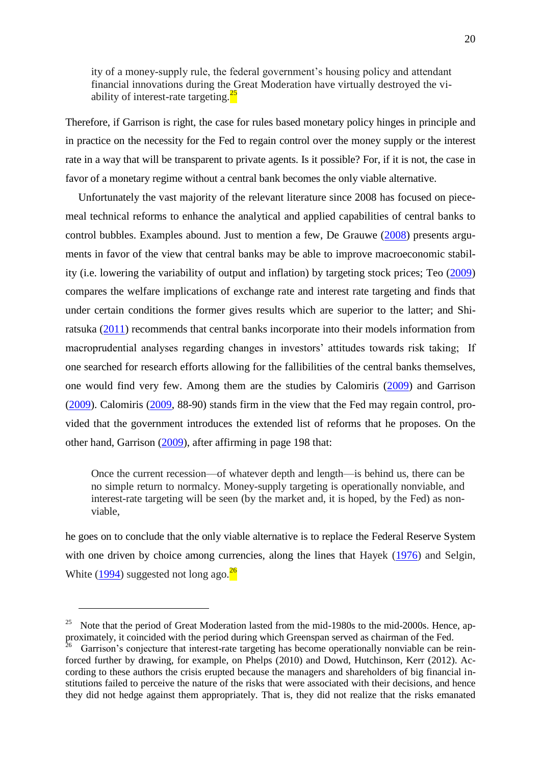ity of a money-supply rule, the federal government's housing policy and attendant financial innovations during the Great Moderation have virtually destroyed the viability of interest-rate targeting. $\frac{25}{25}$ 

Therefore, if Garrison is right, the case for rules based monetary policy hinges in principle and in practice on the necessity for the Fed to regain control over the money supply or the interest rate in a way that will be transparent to private agents. Is it possible? For, if it is not, the case in favor of a monetary regime without a central bank becomes the only viable alternative.

Unfortunately the vast majority of the relevant literature since 2008 has focused on piecemeal technical reforms to enhance the analytical and applied capabilities of central banks to control bubbles. Examples abound. Just to mention a few, De Grauwe [\(2008\)](#page-24-15) presents arguments in favor of the view that central banks may be able to improve macroeconomic stability (i.e. lowering the variability of output and inflation) by targeting stock prices; Teo [\(2009\)](#page-26-8) compares the welfare implications of exchange rate and interest rate targeting and finds that under certain conditions the former gives results which are superior to the latter; and Shiratsuka [\(2011\)](#page-26-9) recommends that central banks incorporate into their models information from macroprudential analyses regarding changes in investors' attitudes towards risk taking; If one searched for research efforts allowing for the fallibilities of the central banks themselves, one would find very few. Among them are the studies by Calomiris [\(2009\)](#page-24-4) and Garrison [\(2009\)](#page-25-13). Calomiris [\(2009,](#page-24-4) 88-90) stands firm in the view that the Fed may regain control, provided that the government introduces the extended list of reforms that he proposes. On the other hand, Garrison [\(2009\)](#page-25-13), after affirming in page 198 that:

Once the current recession—of whatever depth and length—is behind us, there can be no simple return to normalcy. Money-supply targeting is operationally nonviable, and interest-rate targeting will be seen (by the market and, it is hoped, by the Fed) as nonviable,

he goes on to conclude that the only viable alternative is to replace the Federal Reserve System with one driven by choice among currencies, along the lines that Hayek [\(1976\)](#page-25-14) and Selgin, White  $(1994)$  suggested not long ago.<sup>26</sup>

<sup>25</sup> Note that the period of Great Moderation lasted from the mid-1980s to the mid-2000s. Hence, approximately, it coincided with the period during which Greenspan served as chairman of the Fed.<br><sup>26</sup> Gerrison's conjecture that interest rate teresting has become operationally nonviable can be

Garrison's conjecture that interest-rate targeting has become operationally nonviable can be reinforced further by drawing, for example, on Phelps [\(2010\)](#page-26-11) and Dowd, Hutchinson, Kerr [\(2012\)](#page-24-16). According to these authors the crisis erupted because the managers and shareholders of big financial institutions failed to perceive the nature of the risks that were associated with their decisions, and hence they did not hedge against them appropriately. That is, they did not realize that the risks emanated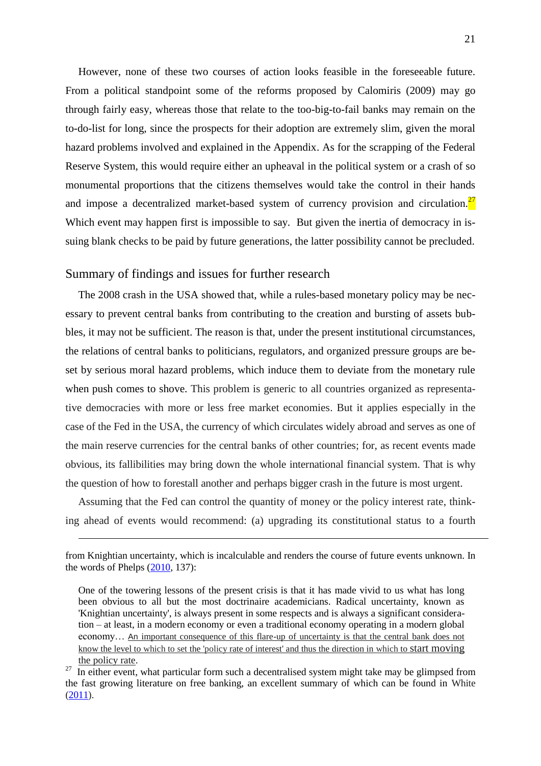However, none of these two courses of action looks feasible in the foreseeable future. From a political standpoint some of the reforms proposed by Calomiris (2009) may go through fairly easy, whereas those that relate to the too-big-to-fail banks may remain on the to-do-list for long, since the prospects for their adoption are extremely slim, given the moral hazard problems involved and explained in the Appendix. As for the scrapping of the Federal Reserve System, this would require either an upheaval in the political system or a crash of so monumental proportions that the citizens themselves would take the control in their hands and impose a decentralized market-based system of currency provision and circulation. $\frac{27}{2}$ Which event may happen first is impossible to say. But given the inertia of democracy in issuing blank checks to be paid by future generations, the latter possibility cannot be precluded.

# Summary of findings and issues for further research

 $\overline{a}$ 

The 2008 crash in the USA showed that, while a rules-based monetary policy may be necessary to prevent central banks from contributing to the creation and bursting of assets bubbles, it may not be sufficient. The reason is that, under the present institutional circumstances, the relations of central banks to politicians, regulators, and organized pressure groups are beset by serious moral hazard problems, which induce them to deviate from the monetary rule when push comes to shove. This problem is generic to all countries organized as representative democracies with more or less free market economies. But it applies especially in the case of the Fed in the USA, the currency of which circulates widely abroad and serves as one of the main reserve currencies for the central banks of other countries; for, as recent events made obvious, its fallibilities may bring down the whole international financial system. That is why the question of how to forestall another and perhaps bigger crash in the future is most urgent.

Assuming that the Fed can control the quantity of money or the policy interest rate, thinking ahead of events would recommend: (a) upgrading its constitutional status to a fourth

from Knightian uncertainty, which is incalculable and renders the course of future events unknown. In the words of Phelps [\(2010,](#page-26-11) 137):

One of the towering lessons of the present crisis is that it has made vivid to us what has long been obvious to all but the most doctrinaire academicians. Radical uncertainty, known as 'Knightian uncertainty', is always present in some respects and is always a significant consideration – at least, in a modern economy or even a traditional economy operating in a modern global economy… An important consequence of this flare-up of uncertainty is that the central bank does not know the level to which to set the 'policy rate of interest' and thus the direction in which to start moving the policy rate.

<sup>27</sup> In either event, what particular form such a decentralised system might take may be glimpsed from the fast growing literature on free banking, an excellent summary of which can be found in White [\(2011\)](#page-26-12).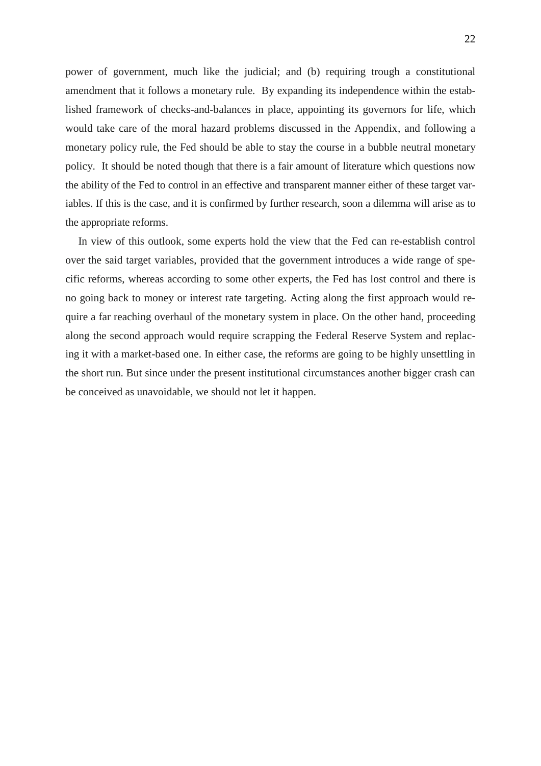power of government, much like the judicial; and (b) requiring trough a constitutional amendment that it follows a monetary rule. By expanding its independence within the established framework of checks-and-balances in place, appointing its governors for life, which would take care of the moral hazard problems discussed in the Appendix, and following a monetary policy rule, the Fed should be able to stay the course in a bubble neutral monetary policy. It should be noted though that there is a fair amount of literature which questions now the ability of the Fed to control in an effective and transparent manner either of these target variables. If this is the case, and it is confirmed by further research, soon a dilemma will arise as to the appropriate reforms.

In view of this outlook, some experts hold the view that the Fed can re-establish control over the said target variables, provided that the government introduces a wide range of specific reforms, whereas according to some other experts, the Fed has lost control and there is no going back to money or interest rate targeting. Acting along the first approach would require a far reaching overhaul of the monetary system in place. On the other hand, proceeding along the second approach would require scrapping the Federal Reserve System and replacing it with a market-based one. In either case, the reforms are going to be highly unsettling in the short run. But since under the present institutional circumstances another bigger crash can be conceived as unavoidable, we should not let it happen.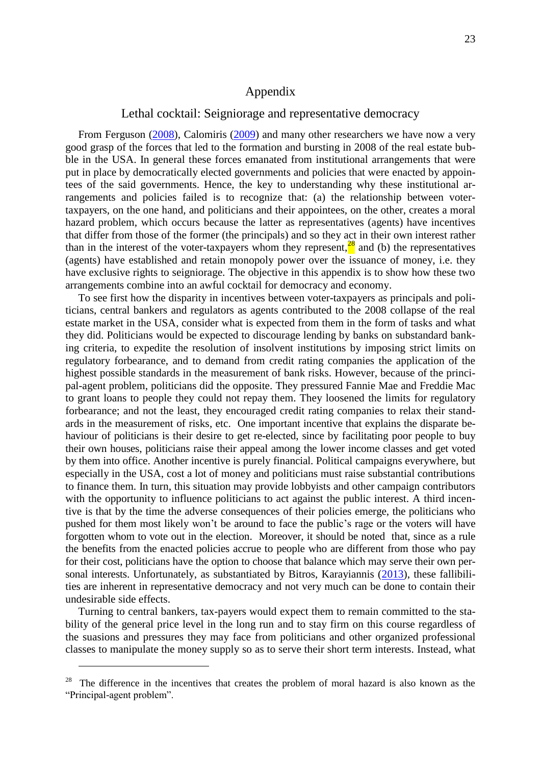### Appendix

### Lethal cocktail: Seigniorage and representative democracy

From Ferguson [\(2008\)](#page-24-3), Calomiris [\(2009\)](#page-24-4) and many other researchers we have now a very good grasp of the forces that led to the formation and bursting in 2008 of the real estate bubble in the USA. In general these forces emanated from institutional arrangements that were put in place by democratically elected governments and policies that were enacted by appointees of the said governments. Hence, the key to understanding why these institutional arrangements and policies failed is to recognize that: (a) the relationship between votertaxpayers, on the one hand, and politicians and their appointees, on the other, creates a moral hazard problem, which occurs because the latter as representatives (agents) have incentives that differ from those of the former (the principals) and so they act in their own interest rather than in the interest of the voter-taxpayers whom they represent, $\frac{28}{3}$  and (b) the representatives (agents) have established and retain monopoly power over the issuance of money, i.e. they have exclusive rights to seigniorage. The objective in this appendix is to show how these two arrangements combine into an awful cocktail for democracy and economy.

To see first how the disparity in incentives between voter-taxpayers as principals and politicians, central bankers and regulators as agents contributed to the 2008 collapse of the real estate market in the USA, consider what is expected from them in the form of tasks and what they did. Politicians would be expected to discourage lending by banks on substandard banking criteria, to expedite the resolution of insolvent institutions by imposing strict limits on regulatory forbearance, and to demand from credit rating companies the application of the highest possible standards in the measurement of bank risks. However, because of the principal-agent problem, politicians did the opposite. They pressured Fannie Mae and Freddie Mac to grant loans to people they could not repay them. They loosened the limits for regulatory forbearance; and not the least, they encouraged credit rating companies to relax their standards in the measurement of risks, etc. One important incentive that explains the disparate behaviour of politicians is their desire to get re-elected, since by facilitating poor people to buy their own houses, politicians raise their appeal among the lower income classes and get voted by them into office. Another incentive is purely financial. Political campaigns everywhere, but especially in the USA, cost a lot of money and politicians must raise substantial contributions to finance them. In turn, this situation may provide lobbyists and other campaign contributors with the opportunity to influence politicians to act against the public interest. A third incentive is that by the time the adverse consequences of their policies emerge, the politicians who pushed for them most likely won't be around to face the public's rage or the voters will have forgotten whom to vote out in the election. Moreover, it should be noted that, since as a rule the benefits from the enacted policies accrue to people who are different from those who pay for their cost, politicians have the option to choose that balance which may serve their own personal interests. Unfortunately, as substantiated by Bitros, Karayiannis [\(2013\)](#page-24-6), these fallibilities are inherent in representative democracy and not very much can be done to contain their undesirable side effects.

Turning to central bankers, tax-payers would expect them to remain committed to the stability of the general price level in the long run and to stay firm on this course regardless of the suasions and pressures they may face from politicians and other organized professional classes to manipulate the money supply so as to serve their short term interests. Instead, what

<sup>28</sup> The difference in the incentives that creates the problem of moral hazard is also known as the "Principal-agent problem".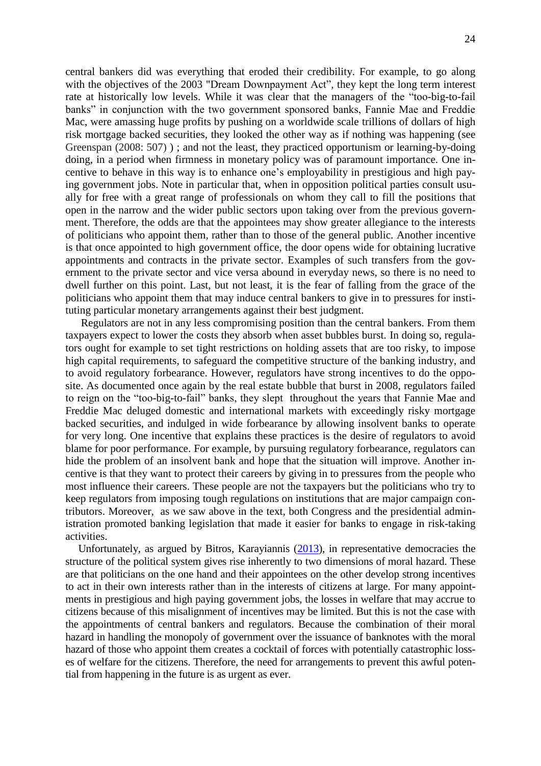central bankers did was everything that eroded their credibility. For example, to go along with the objectives of the 2003 "Dream Downpayment Act", they kept the long term interest rate at historically low levels. While it was clear that the managers of the "too-big-to-fail" banks" in conjunction with the two government sponsored banks, Fannie Mae and Freddie Mac, were amassing huge profits by pushing on a worldwide scale trillions of dollars of high risk mortgage backed securities, they looked the other way as if nothing was happening (see Greenspan (2008: 507) ) ; and not the least, they practiced opportunism or learning-by-doing doing, in a period when firmness in monetary policy was of paramount importance. One incentive to behave in this way is to enhance one's employability in prestigious and high paying government jobs. Note in particular that, when in opposition political parties consult usually for free with a great range of professionals on whom they call to fill the positions that open in the narrow and the wider public sectors upon taking over from the previous government. Therefore, the odds are that the appointees may show greater allegiance to the interests of politicians who appoint them, rather than to those of the general public. Another incentive is that once appointed to high government office, the door opens wide for obtaining lucrative appointments and contracts in the private sector. Examples of such transfers from the government to the private sector and vice versa abound in everyday news, so there is no need to dwell further on this point. Last, but not least, it is the fear of falling from the grace of the politicians who appoint them that may induce central bankers to give in to pressures for instituting particular monetary arrangements against their best judgment.

Regulators are not in any less compromising position than the central bankers. From them taxpayers expect to lower the costs they absorb when asset bubbles burst. In doing so, regulators ought for example to set tight restrictions on holding assets that are too risky, to impose high capital requirements, to safeguard the competitive structure of the banking industry, and to avoid regulatory forbearance. However, regulators have strong incentives to do the opposite. As documented once again by the real estate bubble that burst in 2008, regulators failed to reign on the "too-big-to-fail" banks, they slept throughout the years that Fannie Mae and Freddie Mac deluged domestic and international markets with exceedingly risky mortgage backed securities, and indulged in wide forbearance by allowing insolvent banks to operate for very long. One incentive that explains these practices is the desire of regulators to avoid blame for poor performance. For example, by pursuing regulatory forbearance, regulators can hide the problem of an insolvent bank and hope that the situation will improve. Another incentive is that they want to protect their careers by giving in to pressures from the people who most influence their careers. These people are not the taxpayers but the politicians who try to keep regulators from imposing tough regulations on institutions that are major campaign contributors. Moreover, as we saw above in the text, both Congress and the presidential administration promoted banking legislation that made it easier for banks to engage in risk-taking activities.

Unfortunately, as argued by Bitros, Karayiannis  $(2013)$ , in representative democracies the structure of the political system gives rise inherently to two dimensions of moral hazard. These are that politicians on the one hand and their appointees on the other develop strong incentives to act in their own interests rather than in the interests of citizens at large. For many appointments in prestigious and high paying government jobs, the losses in welfare that may accrue to citizens because of this misalignment of incentives may be limited. But this is not the case with the appointments of central bankers and regulators. Because the combination of their moral hazard in handling the monopoly of government over the issuance of banknotes with the moral hazard of those who appoint them creates a cocktail of forces with potentially catastrophic losses of welfare for the citizens. Therefore, the need for arrangements to prevent this awful potential from happening in the future is as urgent as ever.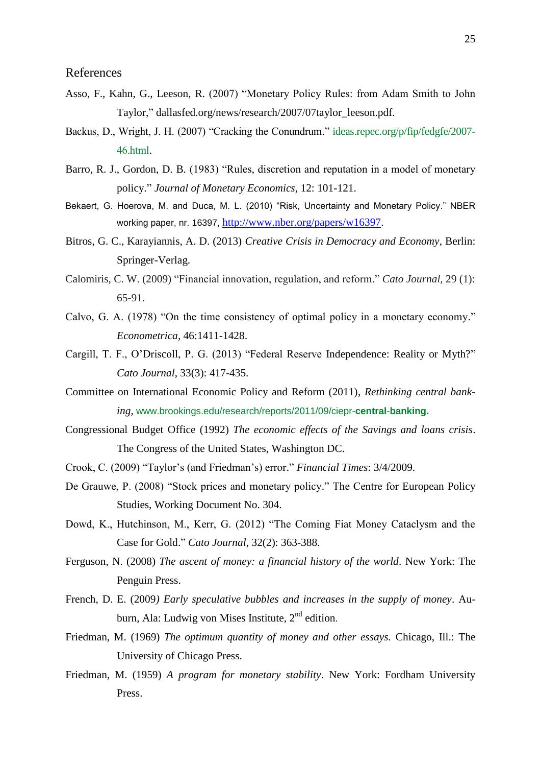# References

- <span id="page-24-12"></span>Asso, F., Kahn, G., Leeson, R. (2007) "Monetary Policy Rules: from Adam Smith to John Taylor," dallasfed.org/news/research/2007/07taylor\_leeson.pdf.
- <span id="page-24-5"></span>Backus, D., Wright, J. H. (2007) "Cracking the Conundrum." ideas.repec.org/p/fip/fedgfe/2007-46.html.
- <span id="page-24-11"></span>Barro, R. J., Gordon, D. B. (1983) "Rules, discretion and reputation in a model of monetary policy.‖ *Journal of Monetary Economics*, 12: 101-121.
- <span id="page-24-7"></span>Bekaert, G. Hoerova, M. and Duca, M. L. (2010) "Risk, Uncertainty and Monetary Policy." NBER working paper, nr. 16397, [http://www.nber.org/papers/w16397.](http://www.nber.org/papers/w16397)
- <span id="page-24-6"></span>Bitros, G. C., Karayiannis, A. D. (2013) *Creative Crisis in Democracy and Economy*, Berlin: Springer-Verlag.
- <span id="page-24-4"></span>Calomiris, C. W. (2009) "Financial innovation, regulation, and reform." *Cato Journal*, 29 (1): 65-91.
- <span id="page-24-10"></span>Calvo, G. A. (1978) "On the time consistency of optimal policy in a monetary economy." *Econometrica*, 46:1411-1428.
- <span id="page-24-14"></span>Cargill, T. F., O'Driscoll, P. G. (2013) "Federal Reserve Independence: Reality or Myth?" *Cato Journal*, 33(3): 417-435.
- <span id="page-24-1"></span>Committee on International Economic Policy and Reform (2011), *Rethinking central banking*, www.brookings.edu/research/reports/2011/09/ciepr-**central**-**banking.**
- <span id="page-24-2"></span>Congressional Budget Office (1992) *The economic effects of the Savings and loans crisis*. The Congress of the United States, Washington DC.
- <span id="page-24-13"></span>Crook, C. (2009) "Taylor's (and Friedman's) error." *Financial Times*: 3/4/2009.
- <span id="page-24-15"></span>De Grauwe, P. (2008) "Stock prices and monetary policy." The Centre for European Policy Studies, Working Document No. 304.
- <span id="page-24-16"></span>Dowd, K., Hutchinson, M., Kerr, G. (2012) "The Coming Fiat Money Cataclysm and the Case for Gold.‖ *Cato Journal*, 32(2): 363-388.
- <span id="page-24-3"></span>Ferguson, N. (2008) *The ascent of money: a financial history of the world*. New York: The Penguin Press.
- <span id="page-24-0"></span>French, D. E. (2009*) Early speculative bubbles and increases in the supply of money*. Auburn, Ala: Ludwig von Mises Institute,  $2<sup>nd</sup>$  edition.
- <span id="page-24-9"></span>Friedman, M. (1969) *The optimum quantity of money and other essays.* Chicago, Ill.: The University of Chicago Press.
- <span id="page-24-8"></span>Friedman, M. (1959) *A program for monetary stability*. New York: Fordham University Press.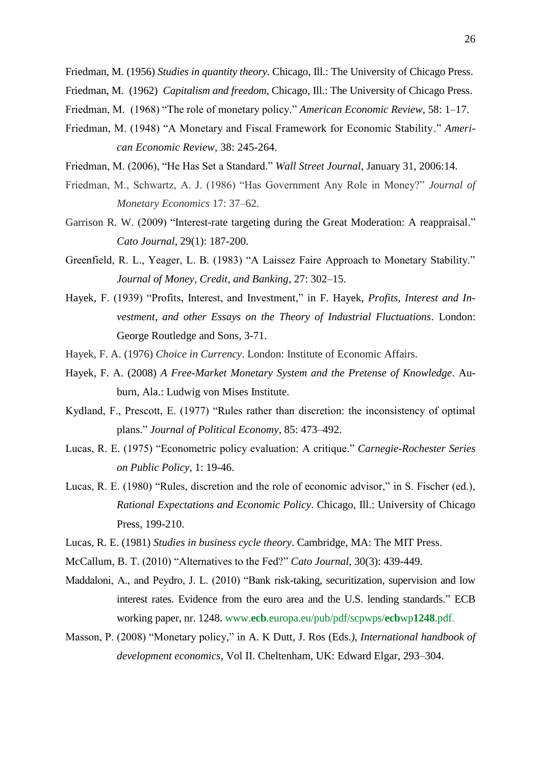Friedman, M. (1956) *Studies in quantity theory*. Chicago, Ill.: The University of Chicago Press.

- <span id="page-25-5"></span>Friedman, M. (1962) *Capitalism and freedom*, Chicago, Ill.: The University of Chicago Press.
- <span id="page-25-6"></span>Friedman, M. (1968) "The role of monetary policy." *American Economic Review*, 58: 1–17.
- <span id="page-25-4"></span>Friedman, M. (1948) "A Monetary and Fiscal Framework for Economic Stability." Ameri*can Economic Review,* 38: 245-264.
- Friedman, M. (2006), "He Has Set a Standard." *Wall Street Journal*, January 31, 2006:14.
- <span id="page-25-7"></span>Friedman, M., Schwartz, A. J. (1986) "Has Government Any Role in Money?" *Journal of Monetary Economics* 17: 37–62.
- <span id="page-25-13"></span>Garrison R. W. (2009) "Interest-rate targeting during the Great Moderation: A reappraisal." *Cato Journal*, 29(1): 187-200.
- <span id="page-25-3"></span>Greenfield, R. L., Yeager, L. B. (1983) "A Laissez Faire Approach to Monetary Stability." *Journal of Money, Credit, and Banking*, 27: 302–15.
- <span id="page-25-0"></span>Hayek, F. (1939) "Profits, Interest, and Investment," in F. Hayek, *Profits, Interest and Investment, and other Essays on the Theory of Industrial Fluctuations*. London: George Routledge and Sons, 3-71.
- <span id="page-25-14"></span>Hayek, F. A. (1976) *Choice in Currency*. London: Institute of Economic Affairs.
- Hayek, F. A. (2008) *A Free-Market Monetary System and the Pretense of Knowledge*. Auburn, Ala.: Ludwig von Mises Institute.
- <span id="page-25-8"></span>Kydland, F., Prescott, E. (1977) "Rules rather than discretion: the inconsistency of optimal plans.‖ *Journal of Political Economy*, 85: 473–492.
- <span id="page-25-9"></span>Lucas, R. E. (1975) "Econometric policy evaluation: A critique." *Carnegie-Rochester Series on Public Policy*, 1: 19-46.
- <span id="page-25-10"></span>Lucas, R. E. (1980) "Rules, discretion and the role of economic advisor," in S. Fischer (ed.), *Rational Expectations and Economic Policy*. Chicago, Ill.: University of Chicago Press, 199-210.
- <span id="page-25-11"></span>Lucas, R. E. (1981) *Studies in business cycle theory*. Cambridge, MA: The MIT Press.
- <span id="page-25-2"></span>McCallum, B. T. (2010) "Alternatives to the Fed?" *Cato Journal*, 30(3): 439-449.
- <span id="page-25-1"></span>Maddaloni, A., and Peydro, J. L. (2010) "Bank risk-taking, securitization, supervision and low interest rates. Evidence from the euro area and the U.S. lending standards." ECB working paper, nr. 1248. www.**ecb**.europa.eu/pub/pdf/scpwps/**ecb**wp**1248**.pdf.
- <span id="page-25-12"></span>Masson, P. (2008) "Monetary policy," in A. K Dutt, J. Ros (Eds.), *International handbook of development economics*, Vol II. Cheltenham, UK: Edward Elgar, 293–304.